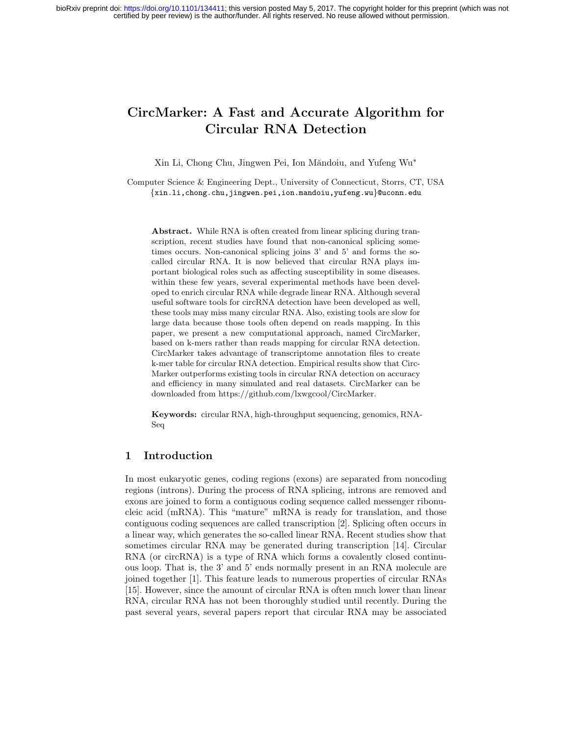# CircMarker: A Fast and Accurate Algorithm for Circular RNA Detection

Xin Li, Chong Chu, Jingwen Pei, Ion Măndoiu, and Yufeng Wu<sup>\*</sup>

Computer Science & Engineering Dept., University of Connecticut, Storrs, CT, USA {xin.li,chong.chu,jingwen.pei,ion.mandoiu,yufeng.wu}@uconn.edu

Abstract. While RNA is often created from linear splicing during transcription, recent studies have found that non-canonical splicing sometimes occurs. Non-canonical splicing joins 3' and 5' and forms the socalled circular RNA. It is now believed that circular RNA plays important biological roles such as affecting susceptibility in some diseases. within these few years, several experimental methods have been developed to enrich circular RNA while degrade linear RNA. Although several useful software tools for circRNA detection have been developed as well, these tools may miss many circular RNA. Also, existing tools are slow for large data because those tools often depend on reads mapping. In this paper, we present a new computational approach, named CircMarker, based on k-mers rather than reads mapping for circular RNA detection. CircMarker takes advantage of transcriptome annotation files to create k-mer table for circular RNA detection. Empirical results show that Circ-Marker outperforms existing tools in circular RNA detection on accuracy and efficiency in many simulated and real datasets. CircMarker can be downloaded from https://github.com/lxwgcool/CircMarker.

Keywords: circular RNA, high-throughput sequencing, genomics, RNA-Seq

#### 1 Introduction

In most eukaryotic genes, coding regions (exons) are separated from noncoding regions (introns). During the process of RNA splicing, introns are removed and exons are joined to form a contiguous coding sequence called messenger ribonucleic acid (mRNA). This "mature" mRNA is ready for translation, and those contiguous coding sequences are called transcription [2]. Splicing often occurs in a linear way, which generates the so-called linear RNA. Recent studies show that sometimes circular RNA may be generated during transcription [14]. Circular RNA (or circRNA) is a type of RNA which forms a covalently closed continuous loop. That is, the 3' and 5' ends normally present in an RNA molecule are joined together [1]. This feature leads to numerous properties of circular RNAs [15]. However, since the amount of circular RNA is often much lower than linear RNA, circular RNA has not been thoroughly studied until recently. During the past several years, several papers report that circular RNA may be associated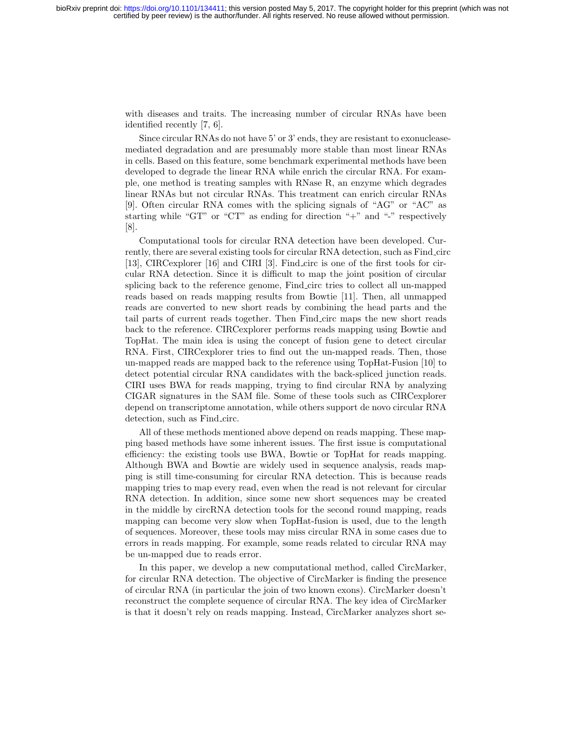with diseases and traits. The increasing number of circular RNAs have been identified recently [7, 6].

Since circular RNAs do not have 5' or 3' ends, they are resistant to exonucleasemediated degradation and are presumably more stable than most linear RNAs in cells. Based on this feature, some benchmark experimental methods have been developed to degrade the linear RNA while enrich the circular RNA. For example, one method is treating samples with RNase R, an enzyme which degrades linear RNAs but not circular RNAs. This treatment can enrich circular RNAs [9]. Often circular RNA comes with the splicing signals of "AG" or "AC" as starting while "GT" or "CT" as ending for direction " $+$ " and "-" respectively [8].

Computational tools for circular RNA detection have been developed. Currently, there are several existing tools for circular RNA detection, such as Find circ [13], CIRCexplorer [16] and CIRI [3]. Find circ is one of the first tools for circular RNA detection. Since it is difficult to map the joint position of circular splicing back to the reference genome, Find circ tries to collect all un-mapped reads based on reads mapping results from Bowtie [11]. Then, all unmapped reads are converted to new short reads by combining the head parts and the tail parts of current reads together. Then Find circ maps the new short reads back to the reference. CIRCexplorer performs reads mapping using Bowtie and TopHat. The main idea is using the concept of fusion gene to detect circular RNA. First, CIRCexplorer tries to find out the un-mapped reads. Then, those un-mapped reads are mapped back to the reference using TopHat-Fusion [10] to detect potential circular RNA candidates with the back-spliced junction reads. CIRI uses BWA for reads mapping, trying to find circular RNA by analyzing CIGAR signatures in the SAM file. Some of these tools such as CIRCexplorer depend on transcriptome annotation, while others support de novo circular RNA detection, such as Find circ.

All of these methods mentioned above depend on reads mapping. These mapping based methods have some inherent issues. The first issue is computational efficiency: the existing tools use BWA, Bowtie or TopHat for reads mapping. Although BWA and Bowtie are widely used in sequence analysis, reads mapping is still time-consuming for circular RNA detection. This is because reads mapping tries to map every read, even when the read is not relevant for circular RNA detection. In addition, since some new short sequences may be created in the middle by circRNA detection tools for the second round mapping, reads mapping can become very slow when TopHat-fusion is used, due to the length of sequences. Moreover, these tools may miss circular RNA in some cases due to errors in reads mapping. For example, some reads related to circular RNA may be un-mapped due to reads error.

In this paper, we develop a new computational method, called CircMarker, for circular RNA detection. The objective of CircMarker is finding the presence of circular RNA (in particular the join of two known exons). CircMarker doesn't reconstruct the complete sequence of circular RNA. The key idea of CircMarker is that it doesn't rely on reads mapping. Instead, CircMarker analyzes short se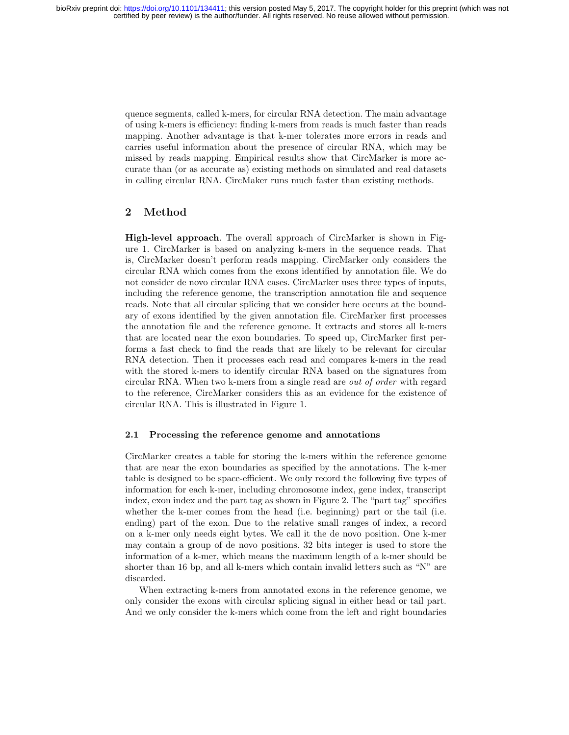quence segments, called k-mers, for circular RNA detection. The main advantage of using k-mers is efficiency: finding k-mers from reads is much faster than reads mapping. Another advantage is that k-mer tolerates more errors in reads and carries useful information about the presence of circular RNA, which may be missed by reads mapping. Empirical results show that CircMarker is more accurate than (or as accurate as) existing methods on simulated and real datasets in calling circular RNA. CircMaker runs much faster than existing methods.

## 2 Method

High-level approach. The overall approach of CircMarker is shown in Figure 1. CircMarker is based on analyzing k-mers in the sequence reads. That is, CircMarker doesn't perform reads mapping. CircMarker only considers the circular RNA which comes from the exons identified by annotation file. We do not consider de novo circular RNA cases. CircMarker uses three types of inputs, including the reference genome, the transcription annotation file and sequence reads. Note that all circular splicing that we consider here occurs at the boundary of exons identified by the given annotation file. CircMarker first processes the annotation file and the reference genome. It extracts and stores all k-mers that are located near the exon boundaries. To speed up, CircMarker first performs a fast check to find the reads that are likely to be relevant for circular RNA detection. Then it processes each read and compares k-mers in the read with the stored k-mers to identify circular RNA based on the signatures from circular RNA. When two k-mers from a single read are out of order with regard to the reference, CircMarker considers this as an evidence for the existence of circular RNA. This is illustrated in Figure 1.

#### 2.1 Processing the reference genome and annotations

CircMarker creates a table for storing the k-mers within the reference genome that are near the exon boundaries as specified by the annotations. The k-mer table is designed to be space-efficient. We only record the following five types of information for each k-mer, including chromosome index, gene index, transcript index, exon index and the part tag as shown in Figure 2. The "part tag" specifies whether the k-mer comes from the head (i.e. beginning) part or the tail (i.e. ending) part of the exon. Due to the relative small ranges of index, a record on a k-mer only needs eight bytes. We call it the de novo position. One k-mer may contain a group of de novo positions. 32 bits integer is used to store the information of a k-mer, which means the maximum length of a k-mer should be shorter than 16 bp, and all k-mers which contain invalid letters such as "N" are discarded.

When extracting k-mers from annotated exons in the reference genome, we only consider the exons with circular splicing signal in either head or tail part. And we only consider the k-mers which come from the left and right boundaries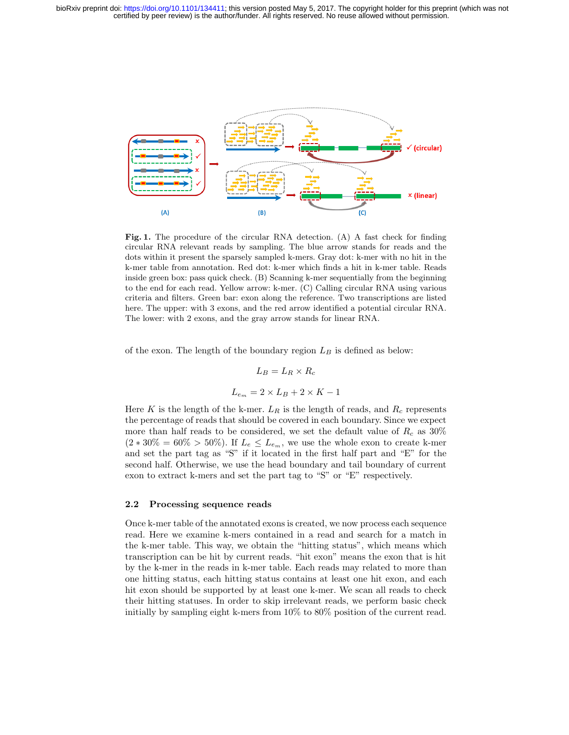

Fig. 1. The procedure of the circular RNA detection. (A) A fast check for finding circular RNA relevant reads by sampling. The blue arrow stands for reads and the dots within it present the sparsely sampled k-mers. Gray dot: k-mer with no hit in the k-mer table from annotation. Red dot: k-mer which finds a hit in k-mer table. Reads inside green box: pass quick check. (B) Scanning k-mer sequentially from the beginning to the end for each read. Yellow arrow: k-mer. (C) Calling circular RNA using various criteria and filters. Green bar: exon along the reference. Two transcriptions are listed here. The upper: with 3 exons, and the red arrow identified a potential circular RNA. The lower: with 2 exons, and the gray arrow stands for linear RNA.

of the exon. The length of the boundary region  $L_B$  is defined as below:

$$
L_B = L_R \times R_c
$$
  

$$
L_{e_m} = 2 \times L_B + 2 \times K - 1
$$

Here K is the length of the k-mer.  $L_R$  is the length of reads, and  $R_c$  represents the percentage of reads that should be covered in each boundary. Since we expect more than half reads to be considered, we set the default value of  $R_c$  as 30%  $(2 * 30\% = 60\% > 50\%)$ . If  $L_e \leq L_{e_m}$ , we use the whole exon to create k-mer and set the part tag as "S" if it located in the first half part and "E" for the second half. Otherwise, we use the head boundary and tail boundary of current exon to extract k-mers and set the part tag to "S" or "E" respectively.

#### 2.2 Processing sequence reads

Once k-mer table of the annotated exons is created, we now process each sequence read. Here we examine k-mers contained in a read and search for a match in the k-mer table. This way, we obtain the "hitting status", which means which transcription can be hit by current reads. "hit exon" means the exon that is hit by the k-mer in the reads in k-mer table. Each reads may related to more than one hitting status, each hitting status contains at least one hit exon, and each hit exon should be supported by at least one k-mer. We scan all reads to check their hitting statuses. In order to skip irrelevant reads, we perform basic check initially by sampling eight k-mers from 10% to 80% position of the current read.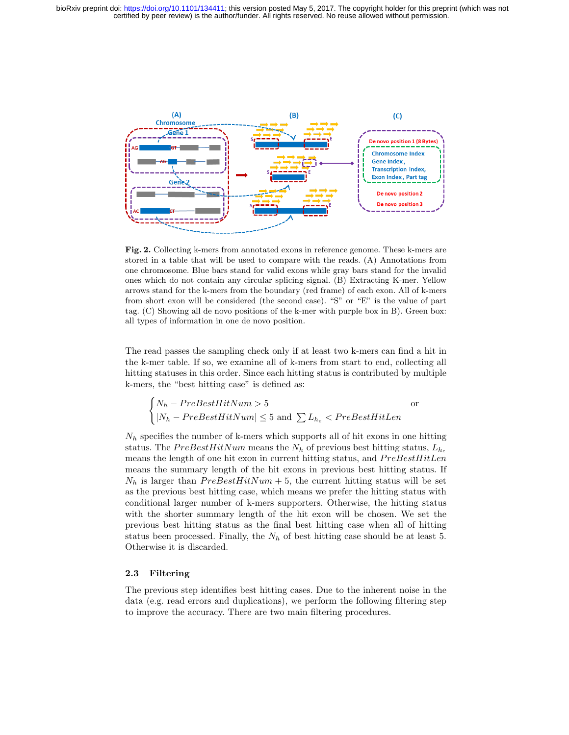

Fig. 2. Collecting k-mers from annotated exons in reference genome. These k-mers are stored in a table that will be used to compare with the reads. (A) Annotations from one chromosome. Blue bars stand for valid exons while gray bars stand for the invalid ones which do not contain any circular splicing signal. (B) Extracting K-mer. Yellow arrows stand for the k-mers from the boundary (red frame) of each exon. All of k-mers from short exon will be considered (the second case). "S" or "E" is the value of part tag. (C) Showing all de novo positions of the k-mer with purple box in B). Green box: all types of information in one de novo position.

The read passes the sampling check only if at least two k-mers can find a hit in the k-mer table. If so, we examine all of k-mers from start to end, collecting all hitting statuses in this order. Since each hitting status is contributed by multiple k-mers, the "best hitting case" is defined as:

$$
\begin{cases} N_h - PreBestHitNum > 5 & \text{or} \\ |N_h - PreBestHitNum| \le 5 \text{ and } \sum L_{h_e} < PreBestHitLen \end{cases}
$$

 $N_h$  specifies the number of k-mers which supports all of hit exons in one hitting status. The  $PreBestHitNum$  means the  $N_h$  of previous best hitting status,  $L_{h_e}$ means the length of one hit exon in current hitting status, and  $PreBestHitLen$ means the summary length of the hit exons in previous best hitting status. If  $N_h$  is larger than  $PreBestHitNum + 5$ , the current hitting status will be set as the previous best hitting case, which means we prefer the hitting status with conditional larger number of k-mers supporters. Otherwise, the hitting status with the shorter summary length of the hit exon will be chosen. We set the previous best hitting status as the final best hitting case when all of hitting status been processed. Finally, the  $N_h$  of best hitting case should be at least 5. Otherwise it is discarded.

#### 2.3 Filtering

The previous step identifies best hitting cases. Due to the inherent noise in the data (e.g. read errors and duplications), we perform the following filtering step to improve the accuracy. There are two main filtering procedures.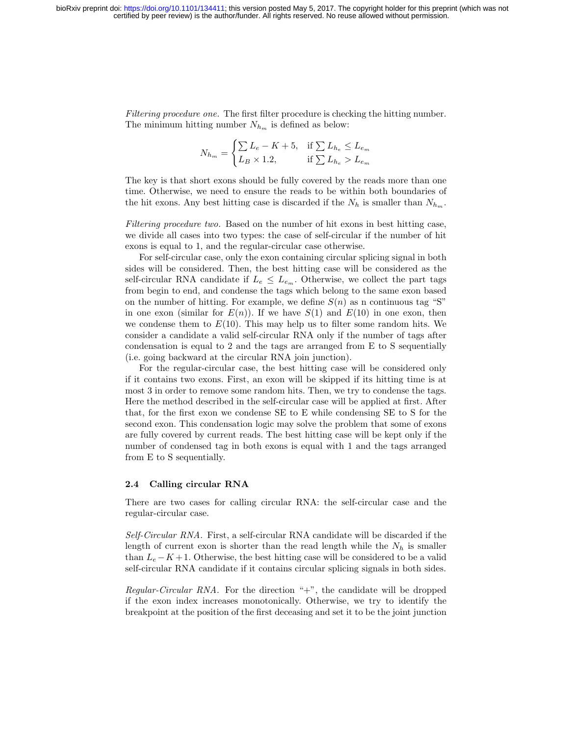Filtering procedure one. The first filter procedure is checking the hitting number. The minimum hitting number  $N_{h_m}$  is defined as below:

$$
N_{h_m} = \begin{cases} \sum L_e - K + 5, & \text{if } \sum L_{h_e} \le L_{e_m} \\ L_B \times 1.2, & \text{if } \sum L_{h_e} > L_{e_m} \end{cases}
$$

The key is that short exons should be fully covered by the reads more than one time. Otherwise, we need to ensure the reads to be within both boundaries of the hit exons. Any best hitting case is discarded if the  $N_h$  is smaller than  $N_{h_m}$ .

Filtering procedure two. Based on the number of hit exons in best hitting case, we divide all cases into two types: the case of self-circular if the number of hit exons is equal to 1, and the regular-circular case otherwise.

For self-circular case, only the exon containing circular splicing signal in both sides will be considered. Then, the best hitting case will be considered as the self-circular RNA candidate if  $L_e \leq L_{e_m}$ . Otherwise, we collect the part tags from begin to end, and condense the tags which belong to the same exon based on the number of hitting. For example, we define  $S(n)$  as n continuous tag "S" in one exon (similar for  $E(n)$ ). If we have  $S(1)$  and  $E(10)$  in one exon, then we condense them to  $E(10)$ . This may help us to filter some random hits. We consider a candidate a valid self-circular RNA only if the number of tags after condensation is equal to 2 and the tags are arranged from E to S sequentially (i.e. going backward at the circular RNA join junction).

For the regular-circular case, the best hitting case will be considered only if it contains two exons. First, an exon will be skipped if its hitting time is at most 3 in order to remove some random hits. Then, we try to condense the tags. Here the method described in the self-circular case will be applied at first. After that, for the first exon we condense SE to E while condensing SE to S for the second exon. This condensation logic may solve the problem that some of exons are fully covered by current reads. The best hitting case will be kept only if the number of condensed tag in both exons is equal with 1 and the tags arranged from E to S sequentially.

#### 2.4 Calling circular RNA

There are two cases for calling circular RNA: the self-circular case and the regular-circular case.

Self-Circular RNA. First, a self-circular RNA candidate will be discarded if the length of current exon is shorter than the read length while the  $N_h$  is smaller than  $L_e - K + 1$ . Otherwise, the best hitting case will be considered to be a valid self-circular RNA candidate if it contains circular splicing signals in both sides.

Regular-Circular RNA. For the direction "+", the candidate will be dropped if the exon index increases monotonically. Otherwise, we try to identify the breakpoint at the position of the first deceasing and set it to be the joint junction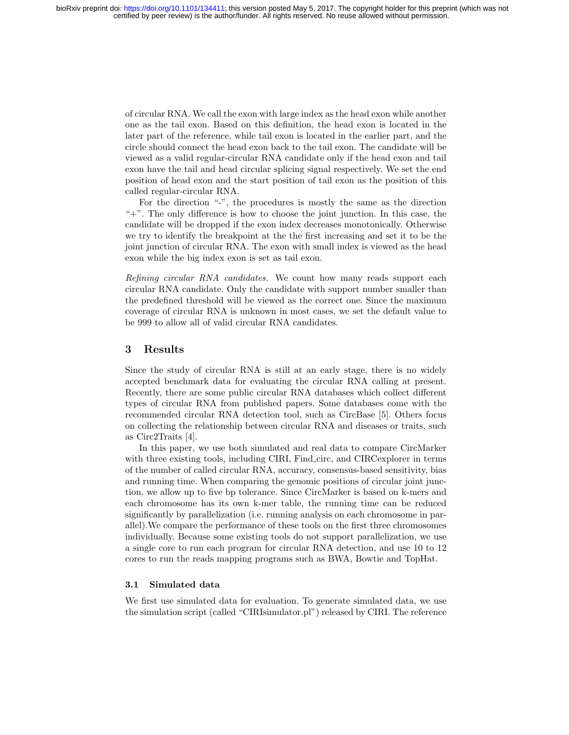of circular RNA. We call the exon with large index as the head exon while another one as the tail exon. Based on this definition, the head exon is located in the later part of the reference, while tail exon is located in the earlier part, and the circle should connect the head exon back to the tail exon. The candidate will be viewed as a valid regular-circular RNA candidate only if the head exon and tail exon have the tail and head circular splicing signal respectively. We set the end position of head exon and the start position of tail exon as the position of this called regular-circular RNA.

For the direction "-", the procedures is mostly the same as the direction "+". The only difference is how to choose the joint junction. In this case, the candidate will be dropped if the exon index decreases monotonically. Otherwise we try to identify the breakpoint at the the first increasing and set it to be the joint junction of circular RNA. The exon with small index is viewed as the head exon while the big index exon is set as tail exon.

Refining circular RNA candidates. We count how many reads support each circular RNA candidate. Only the candidate with support number smaller than the predefined threshold will be viewed as the correct one. Since the maximum coverage of circular RNA is unknown in most cases, we set the default value to be 999 to allow all of valid circular RNA candidates.

#### 3 Results

Since the study of circular RNA is still at an early stage, there is no widely accepted benchmark data for evaluating the circular RNA calling at present. Recently, there are some public circular RNA databases which collect different types of circular RNA from published papers. Some databases come with the recommended circular RNA detection tool, such as CircBase [5]. Others focus on collecting the relationship between circular RNA and diseases or traits, such as Circ2Traits [4].

In this paper, we use both simulated and real data to compare CircMarker with three existing tools, including CIRI, Find circ, and CIRCexplorer in terms of the number of called circular RNA, accuracy, consensus-based sensitivity, bias and running time. When comparing the genomic positions of circular joint junction, we allow up to five bp tolerance. Since CircMarker is based on k-mers and each chromosome has its own k-mer table, the running time can be reduced significantly by parallelization (i.e. running analysis on each chromosome in parallel).We compare the performance of these tools on the first three chromosomes individually. Because some existing tools do not support parallelization, we use a single core to run each program for circular RNA detection, and use 10 to 12 cores to run the reads mapping programs such as BWA, Bowtie and TopHat.

#### 3.1 Simulated data

We first use simulated data for evaluation. To generate simulated data, we use the simulation script (called "CIRIsimulator.pl") released by CIRI. The reference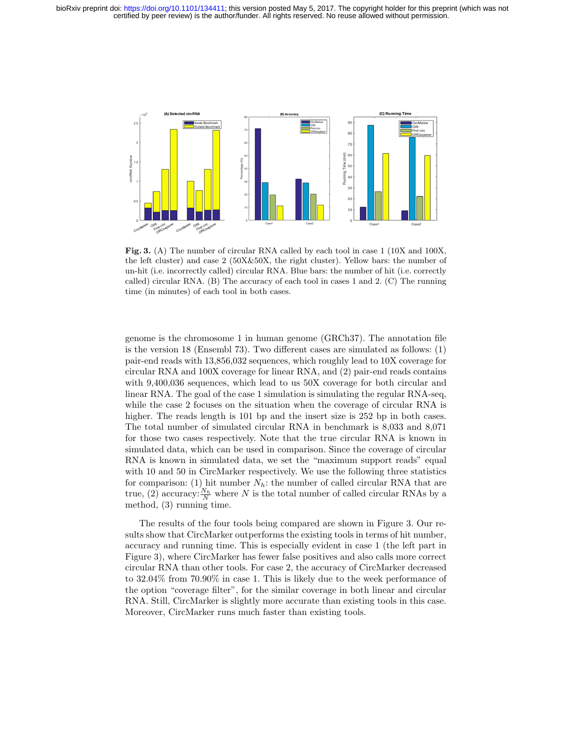

Fig. 3. (A) The number of circular RNA called by each tool in case 1 (10X and 100X, the left cluster) and case 2 (50X&50X, the right cluster). Yellow bars: the number of un-hit (i.e. incorrectly called) circular RNA. Blue bars: the number of hit (i.e. correctly called) circular RNA. (B) The accuracy of each tool in cases 1 and 2. (C) The running time (in minutes) of each tool in both cases.

genome is the chromosome 1 in human genome (GRCh37). The annotation file is the version 18 (Ensembl 73). Two different cases are simulated as follows: (1) pair-end reads with 13,856,032 sequences, which roughly lead to 10X coverage for circular RNA and 100X coverage for linear RNA, and (2) pair-end reads contains with 9,400,036 sequences, which lead to us 50X coverage for both circular and linear RNA. The goal of the case 1 simulation is simulating the regular RNA-seq, while the case 2 focuses on the situation when the coverage of circular RNA is higher. The reads length is 101 bp and the insert size is 252 bp in both cases. The total number of simulated circular RNA in benchmark is 8,033 and 8,071 for those two cases respectively. Note that the true circular RNA is known in simulated data, which can be used in comparison. Since the coverage of circular RNA is known in simulated data, we set the "maximum support reads" equal with 10 and 50 in CircMarker respectively. We use the following three statistics for comparison: (1) hit number  $N_h$ : the number of called circular RNA that are true, (2) accuracy:  $\frac{N_h}{N}$  where N is the total number of called circular RNAs by a method, (3) running time.

The results of the four tools being compared are shown in Figure 3. Our results show that CircMarker outperforms the existing tools in terms of hit number, accuracy and running time. This is especially evident in case 1 (the left part in Figure 3), where CircMarker has fewer false positives and also calls more correct circular RNA than other tools. For case 2, the accuracy of CircMarker decreased to 32.04% from 70.90% in case 1. This is likely due to the week performance of the option "coverage filter", for the similar coverage in both linear and circular RNA. Still, CircMarker is slightly more accurate than existing tools in this case. Moreover, CircMarker runs much faster than existing tools.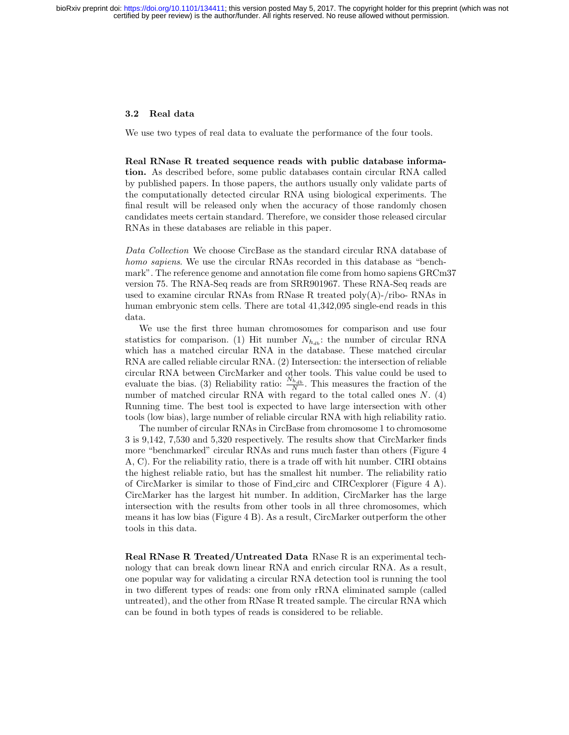#### 3.2 Real data

We use two types of real data to evaluate the performance of the four tools.

Real RNase R treated sequence reads with public database information. As described before, some public databases contain circular RNA called by published papers. In those papers, the authors usually only validate parts of the computationally detected circular RNA using biological experiments. The final result will be released only when the accuracy of those randomly chosen candidates meets certain standard. Therefore, we consider those released circular RNAs in these databases are reliable in this paper.

Data Collection We choose CircBase as the standard circular RNA database of homo sapiens. We use the circular RNAs recorded in this database as "benchmark". The reference genome and annotation file come from homo sapiens GRCm37 version 75. The RNA-Seq reads are from SRR901967. These RNA-Seq reads are used to examine circular RNAs from RNase R treated poly(A)-/ribo- RNAs in human embryonic stem cells. There are total 41,342,095 single-end reads in this data.

We use the first three human chromosomes for comparison and use four statistics for comparison. (1) Hit number  $N_{h_{db}}$ : the number of circular RNA which has a matched circular RNA in the database. These matched circular RNA are called reliable circular RNA. (2) Intersection: the intersection of reliable circular RNA between CircMarker and other tools. This value could be used to evaluate the bias. (3) Reliability ratio:  $\frac{N_{h_{db}}}{N}$ . This measures the fraction of the number of matched circular RNA with regard to the total called ones  $N.$  (4) Running time. The best tool is expected to have large intersection with other tools (low bias), large number of reliable circular RNA with high reliability ratio.

The number of circular RNAs in CircBase from chromosome 1 to chromosome 3 is 9,142, 7,530 and 5,320 respectively. The results show that CircMarker finds more "benchmarked" circular RNAs and runs much faster than others (Figure 4 A, C). For the reliability ratio, there is a trade off with hit number. CIRI obtains the highest reliable ratio, but has the smallest hit number. The reliability ratio of CircMarker is similar to those of Find circ and CIRCexplorer (Figure 4 A). CircMarker has the largest hit number. In addition, CircMarker has the large intersection with the results from other tools in all three chromosomes, which means it has low bias (Figure 4 B). As a result, CircMarker outperform the other tools in this data.

Real RNase R Treated/Untreated Data RNase R is an experimental technology that can break down linear RNA and enrich circular RNA. As a result, one popular way for validating a circular RNA detection tool is running the tool in two different types of reads: one from only rRNA eliminated sample (called untreated), and the other from RNase R treated sample. The circular RNA which can be found in both types of reads is considered to be reliable.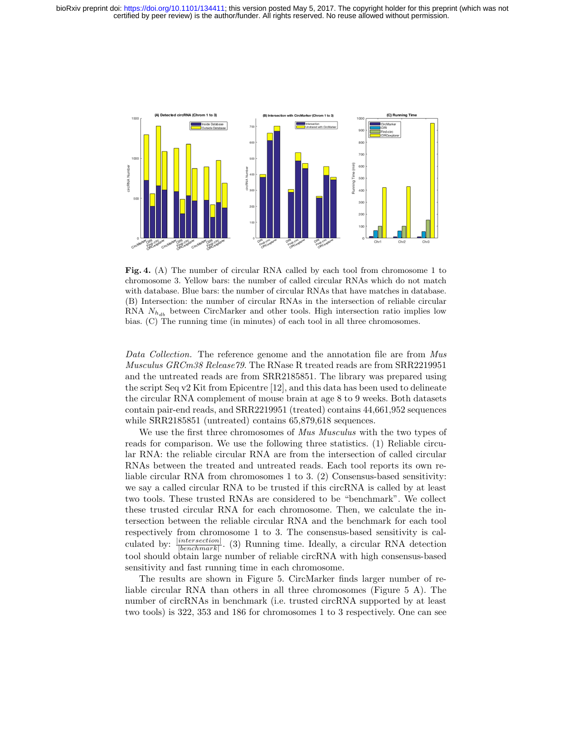

Fig. 4. (A) The number of circular RNA called by each tool from chromosome 1 to chromosome 3. Yellow bars: the number of called circular RNAs which do not match with database. Blue bars: the number of circular RNAs that have matches in database. (B) Intersection: the number of circular RNAs in the intersection of reliable circular RNA  $N_{h_{db}}$  between CircMarker and other tools. High intersection ratio implies low bias. (C) The running time (in minutes) of each tool in all three chromosomes.

Data Collection. The reference genome and the annotation file are from Mus Musculus GRCm38 Release79. The RNase R treated reads are from SRR2219951 and the untreated reads are from SRR2185851. The library was prepared using the script Seq v2 Kit from Epicentre [12], and this data has been used to delineate the circular RNA complement of mouse brain at age 8 to 9 weeks. Both datasets contain pair-end reads, and SRR2219951 (treated) contains 44,661,952 sequences while SRR2185851 (untreated) contains 65,879,618 sequences.

We use the first three chromosomes of Mus Musculus with the two types of reads for comparison. We use the following three statistics. (1) Reliable circular RNA: the reliable circular RNA are from the intersection of called circular RNAs between the treated and untreated reads. Each tool reports its own reliable circular RNA from chromosomes 1 to 3. (2) Consensus-based sensitivity: we say a called circular RNA to be trusted if this circRNA is called by at least two tools. These trusted RNAs are considered to be "benchmark". We collect these trusted circular RNA for each chromosome. Then, we calculate the intersection between the reliable circular RNA and the benchmark for each tool respectively from chromosome 1 to 3. The consensus-based sensitivity is calculated by:  $\frac{|intersection|}{|benchmark|}$ . (3) Running time. Ideally, a circular RNA detection tool should obtain large number of reliable circRNA with high consensus-based sensitivity and fast running time in each chromosome.

The results are shown in Figure 5. CircMarker finds larger number of reliable circular RNA than others in all three chromosomes (Figure 5 A). The number of circRNAs in benchmark (i.e. trusted circRNA supported by at least two tools) is 322, 353 and 186 for chromosomes 1 to 3 respectively. One can see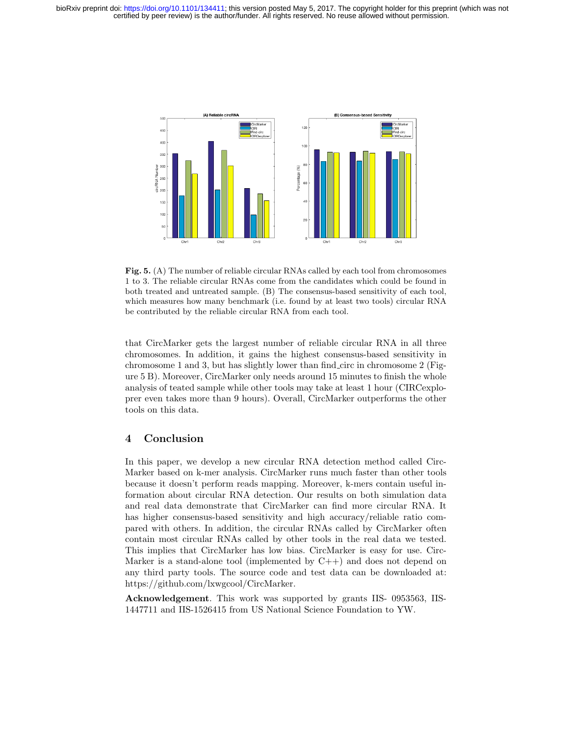

Fig. 5. (A) The number of reliable circular RNAs called by each tool from chromosomes 1 to 3. The reliable circular RNAs come from the candidates which could be found in both treated and untreated sample. (B) The consensus-based sensitivity of each tool, which measures how many benchmark (i.e. found by at least two tools) circular RNA be contributed by the reliable circular RNA from each tool.

that CircMarker gets the largest number of reliable circular RNA in all three chromosomes. In addition, it gains the highest consensus-based sensitivity in chromosome 1 and 3, but has slightly lower than find circ in chromosome 2 (Figure 5 B). Moreover, CircMarker only needs around 15 minutes to finish the whole analysis of teated sample while other tools may take at least 1 hour (CIRCexploprer even takes more than 9 hours). Overall, CircMarker outperforms the other tools on this data.

## 4 Conclusion

In this paper, we develop a new circular RNA detection method called Circ-Marker based on k-mer analysis. CircMarker runs much faster than other tools because it doesn't perform reads mapping. Moreover, k-mers contain useful information about circular RNA detection. Our results on both simulation data and real data demonstrate that CircMarker can find more circular RNA. It has higher consensus-based sensitivity and high accuracy/reliable ratio compared with others. In addition, the circular RNAs called by CircMarker often contain most circular RNAs called by other tools in the real data we tested. This implies that CircMarker has low bias. CircMarker is easy for use. Circ-Marker is a stand-alone tool (implemented by  $C++$ ) and does not depend on any third party tools. The source code and test data can be downloaded at: https://github.com/lxwgcool/CircMarker.

Acknowledgement. This work was supported by grants IIS- 0953563, IIS-1447711 and IIS-1526415 from US National Science Foundation to YW.